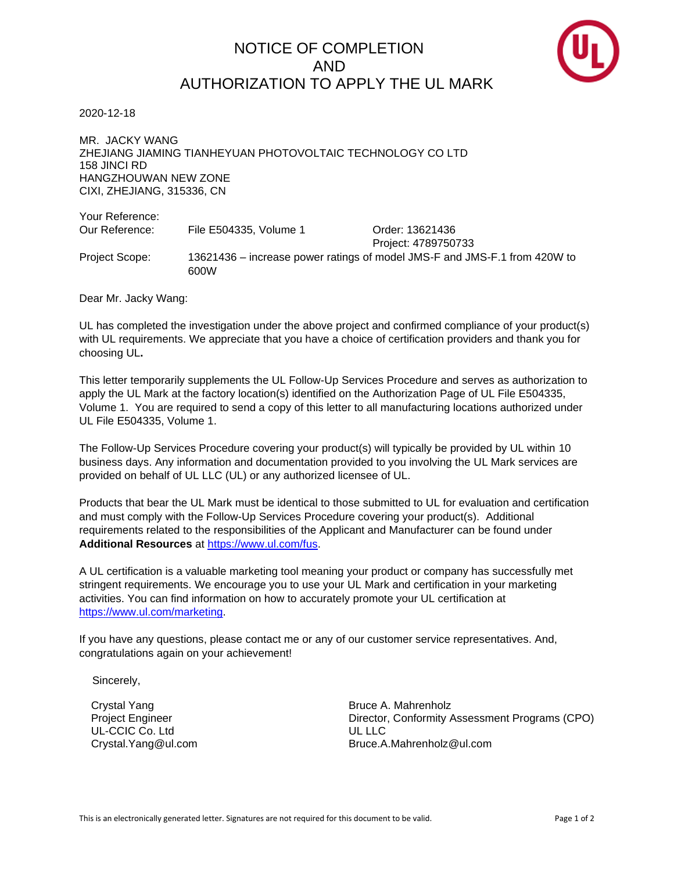## NOTICE OF COMPLETION AND AUTHORIZATION TO APPLY THE UL MARK



2020-12-18

MR. JACKY WANG ZHEJIANG JIAMING TIANHEYUAN PHOTOVOLTAIC TECHNOLOGY CO LTD 158 JINCI RD HANGZHOUWAN NEW ZONE CIXI, ZHEJIANG, 315336, CN

Your Reference: Our Reference: File E504335, Volume 1 Crder: 13621436 Project: 4789750733 Project Scope: 13621436 – increase power ratings of model JMS-F and JMS-F.1 from 420W to 600W

Dear Mr. Jacky Wang:

UL has completed the investigation under the above project and confirmed compliance of your product(s) with UL requirements. We appreciate that you have a choice of certification providers and thank you for choosing UL**.**

This letter temporarily supplements the UL Follow-Up Services Procedure and serves as authorization to apply the UL Mark at the factory location(s) identified on the Authorization Page of UL File E504335, Volume 1. You are required to send a copy of this letter to all manufacturing locations authorized under UL File E504335, Volume 1.

The Follow-Up Services Procedure covering your product(s) will typically be provided by UL within 10 business days. Any information and documentation provided to you involving the UL Mark services are provided on behalf of UL LLC (UL) or any authorized licensee of UL.

Products that bear the UL Mark must be identical to those submitted to UL for evaluation and certification and must comply with the Follow-Up Services Procedure covering your product(s). Additional requirements related to the responsibilities of the Applicant and Manufacturer can be found under **Additional Resources** at [https://www.ul.com/fus.](https://www.ul.com/fus)

A UL certification is a valuable marketing tool meaning your product or company has successfully met stringent requirements. We encourage you to use your UL Mark and certification in your marketing activities. You can find information on how to accurately promote your UL certification at [https://www.ul.com/marketing.](https://www.ul.com/marketing)

If you have any questions, please contact me or any of our customer service representatives. And, congratulations again on your achievement!

Sincerely,

Crystal Yang Project Engineer UL-CCIC Co. Ltd Crystal.Yang@ul.com Bruce A. Mahrenholz Director, Conformity Assessment Programs (CPO) UL LLC Bruce.A.Mahrenholz@ul.com